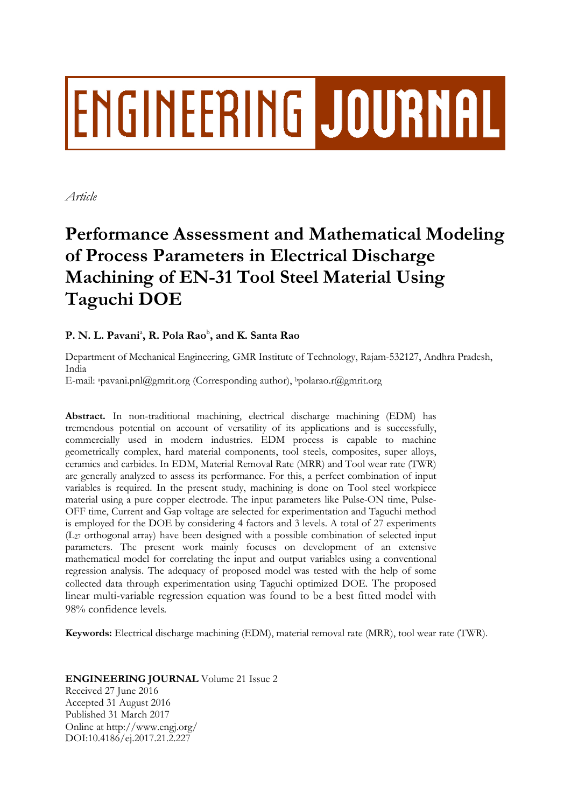# ENGINEERING JOURNAL

*Article*

## **Performance Assessment and Mathematical Modeling of Process Parameters in Electrical Discharge Machining of EN-31 Tool Steel Material Using Taguchi DOE**

### **P. N. L. Pavani**<sup>a</sup> **, R. Pola Rao**<sup>b</sup> **, and K. Santa Rao**

Department of Mechanical Engineering, GMR Institute of Technology, Rajam-532127, Andhra Pradesh, India

E-mail: <sup>a</sup>pavani.pnl@gmrit.org (Corresponding author), <sup>b</sup>polarao.r@gmrit.org

**Abstract.** In non-traditional machining, electrical discharge machining (EDM) has tremendous potential on account of versatility of its applications and is successfully, commercially used in modern industries. EDM process is capable to machine geometrically complex, hard material components, tool steels, composites, super alloys, ceramics and carbides. In EDM, Material Removal Rate (MRR) and Tool wear rate (TWR) are generally analyzed to assess its performance. For this, a perfect combination of input variables is required. In the present study, machining is done on Tool steel workpiece material using a pure copper electrode. The input parameters like Pulse-ON time, Pulse-OFF time, Current and Gap voltage are selected for experimentation and Taguchi method is employed for the DOE by considering 4 factors and 3 levels. A total of 27 experiments  $(L_{27}$  orthogonal array) have been designed with a possible combination of selected input parameters. The present work mainly focuses on development of an extensive mathematical model for correlating the input and output variables using a conventional regression analysis. The adequacy of proposed model was tested with the help of some collected data through experimentation using Taguchi optimized DOE. The proposed linear multi-variable regression equation was found to be a best fitted model with 98% confidence levels.

**Keywords:** Electrical discharge machining (EDM), material removal rate (MRR), tool wear rate (TWR).

**ENGINEERING JOURNAL** Volume 21 Issue 2 Received 27 June 2016 Accepted 31 August 2016 Published 31 March 2017 Online at http://www.engj.org/ DOI:10.4186/ej.2017.21.2.227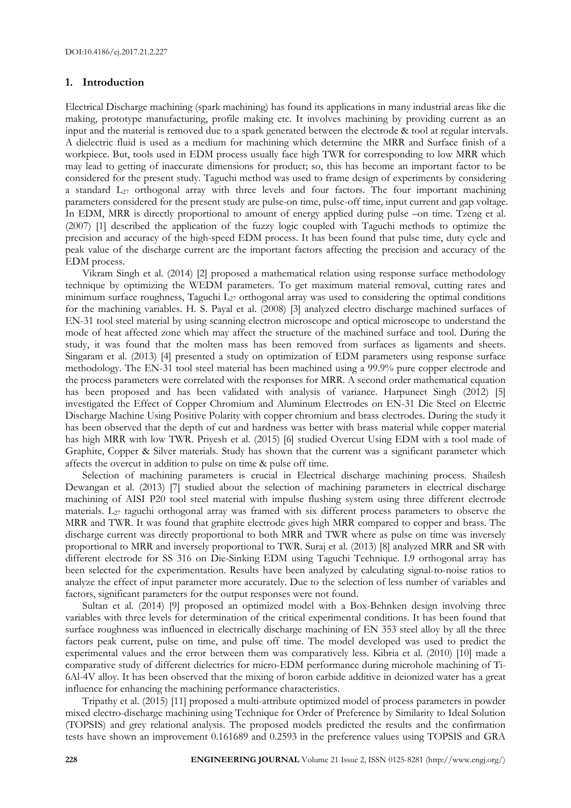#### **1. Introduction**

Electrical Discharge machining (spark machining) has found its applications in many industrial areas like die making, prototype manufacturing, profile making etc. It involves machining by providing current as an input and the material is removed due to a spark generated between the electrode & tool at regular intervals. A dielectric fluid is used as a medium for machining which determine the MRR and Surface finish of a workpiece. But, tools used in EDM process usually face high TWR for corresponding to low MRR which may lead to getting of inaccurate dimensions for product; so, this has become an important factor to be considered for the present study. Taguchi method was used to frame design of experiments by considering a standard L<sub>27</sub> orthogonal array with three levels and four factors. The four important machining parameters considered for the present study are pulse-on time, pulse-off time, input current and gap voltage. In EDM, MRR is directly proportional to amount of energy applied during pulse –on time. Tzeng et al. (2007) [1] described the application of the fuzzy logic coupled with Taguchi methods to optimize the precision and accuracy of the high-speed EDM process. It has been found that pulse time, duty cycle and peak value of the discharge current are the important factors affecting the precision and accuracy of the EDM process.

Vikram Singh et al. (2014) [2] proposed a mathematical relation using response surface methodology technique by optimizing the WEDM parameters. To get maximum material removal, cutting rates and minimum surface roughness, Taguchi L<sub>27</sub> orthogonal array was used to considering the optimal conditions for the machining variables. H. S. Payal et al. (2008) [3] analyzed electro discharge machined surfaces of EN-31 tool steel material by using scanning electron microscope and optical microscope to understand the mode of heat affected zone which may affect the structure of the machined surface and tool. During the study, it was found that the molten mass has been removed from surfaces as ligaments and sheets. Singaram et al. (2013) [4] presented a study on optimization of EDM parameters using response surface methodology. The EN-31 tool steel material has been machined using a 99.9% pure copper electrode and the process parameters were correlated with the responses for MRR. A second order mathematical equation has been proposed and has been validated with analysis of variance. Harpuneet Singh (2012) [5] investigated the Effect of Copper Chromium and Aluminum Electrodes on EN-31 Die Steel on Electric Discharge Machine Using Positive Polarity with copper chromium and brass electrodes. During the study it has been observed that the depth of cut and hardness was better with brass material while copper material has high MRR with low TWR. Priyesh et al. (2015) [6] studied Overcut Using EDM with a tool made of Graphite, Copper & Silver materials. Study has shown that the current was a significant parameter which affects the overcut in addition to pulse on time & pulse off time.

Selection of machining parameters is crucial in Electrical discharge machining process. Shailesh Dewangan et al. (2013) [7] studied about the selection of machining parameters in electrical discharge machining of AISI P20 tool steel material with impulse flushing system using three different electrode materials. L<sup>27</sup> taguchi orthogonal array was framed with six different process parameters to observe the MRR and TWR. It was found that graphite electrode gives high MRR compared to copper and brass. The discharge current was directly proportional to both MRR and TWR where as pulse on time was inversely proportional to MRR and inversely proportional to TWR. Suraj et al. (2013) [8] analyzed MRR and SR with different electrode for SS 316 on Die-Sinking EDM using Taguchi Technique. L9 orthogonal array has been selected for the experimentation. Results have been analyzed by calculating signal-to-noise ratios to analyze the effect of input parameter more accurately. Due to the selection of less number of variables and factors, significant parameters for the output responses were not found.

Sultan et al. (2014) [9] proposed an optimized model with a Box-Behnken design involving three variables with three levels for determination of the critical experimental conditions. It has been found that surface roughness was influenced in electrically discharge machining of EN 353 steel alloy by all the three factors peak current, pulse on time, and pulse off time. The model developed was used to predict the experimental values and the error between them was comparatively less. Kibria et al. (2010) [10] made a comparative study of different dielectrics for micro-EDM performance during microhole machining of Ti-6Al-4V alloy. It has been observed that the mixing of boron carbide additive in deionized water has a great influence for enhancing the machining performance characteristics.

Tripathy et al. (2015) [11] proposed a multi-attribute optimized model of process parameters in powder mixed electro-discharge machining using Technique for Order of Preference by Similarity to Ideal Solution (TOPSIS) and grey relational analysis. The proposed models predicted the results and the confirmation tests have shown an improvement 0.161689 and 0.2593 in the preference values using TOPSIS and GRA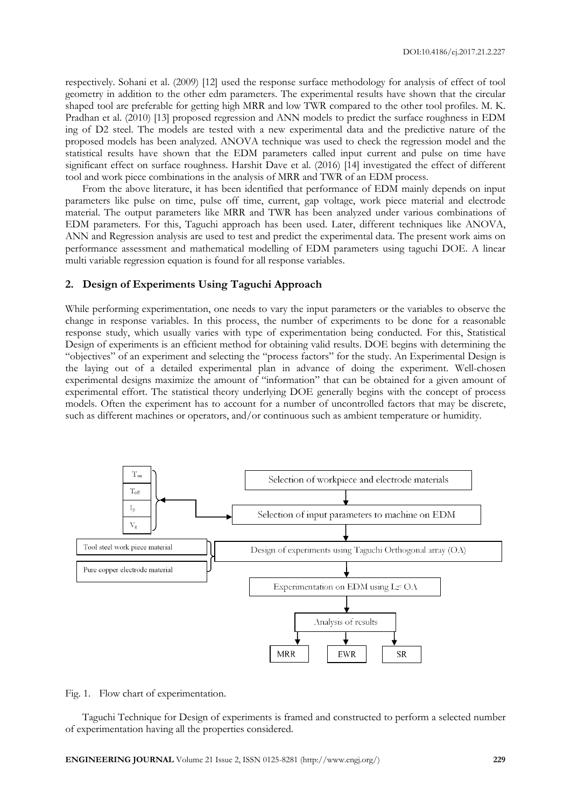respectively. Sohani et al. (2009) [12] used the response surface methodology for analysis of effect of tool geometry in addition to the other edm parameters. The experimental results have shown that the circular shaped tool are preferable for getting high MRR and low TWR compared to the other tool profiles. M. K. Pradhan et al. (2010) [13] proposed regression and ANN models to predict the surface roughness in EDM ing of D2 steel. The models are tested with a new experimental data and the predictive nature of the proposed models has been analyzed. ANOVA technique was used to check the regression model and the statistical results have shown that the EDM parameters called input current and pulse on time have significant effect on surface roughness. Harshit Dave et al. (2016) [14] investigated the effect of different tool and work piece combinations in the analysis of MRR and TWR of an EDM process.

From the above literature, it has been identified that performance of EDM mainly depends on input parameters like pulse on time, pulse off time, current, gap voltage, work piece material and electrode material. The output parameters like MRR and TWR has been analyzed under various combinations of EDM parameters. For this, Taguchi approach has been used. Later, different techniques like ANOVA, ANN and Regression analysis are used to test and predict the experimental data. The present work aims on performance assessment and mathematical modelling of EDM parameters using taguchi DOE. A linear multi variable regression equation is found for all response variables.

#### **2. Design of Experiments Using Taguchi Approach**

While performing experimentation, one needs to vary the input parameters or the variables to observe the change in response variables. In this process, the number of experiments to be done for a reasonable response study, which usually varies with type of experimentation being conducted. For this, Statistical Design of experiments is an efficient method for obtaining valid results. DOE begins with determining the "objectives" of an experiment and selecting the "process factors" for the study. An Experimental Design is the laying out of a detailed experimental plan in advance of doing the experiment. Well-chosen experimental designs maximize the amount of "information" that can be obtained for a given amount of experimental effort. The statistical theory underlying DOE generally begins with the concept of process models. Often the experiment has to account for a number of uncontrolled factors that may be discrete, such as different machines or operators, and/or continuous such as ambient temperature or humidity.



Fig. 1. Flow chart of experimentation.

Taguchi Technique for Design of experiments is framed and constructed to perform a selected number of experimentation having all the properties considered.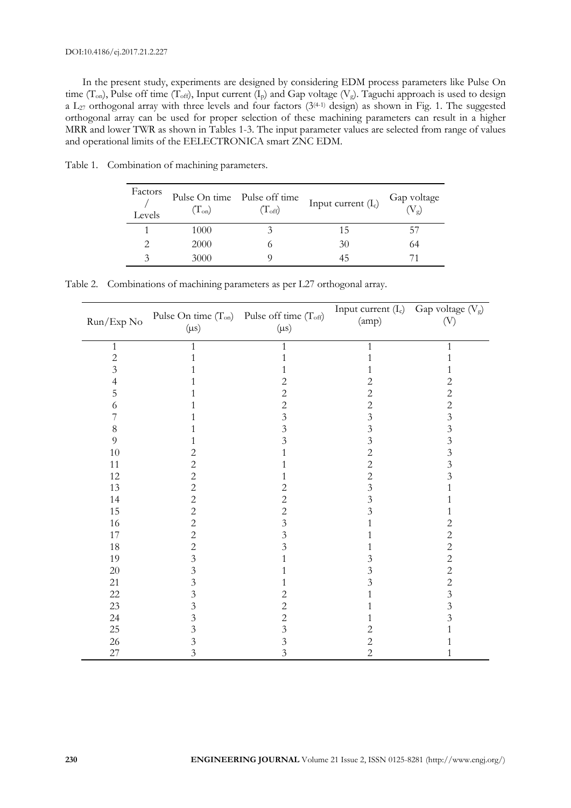In the present study, experiments are designed by considering EDM process parameters like Pulse On time (T<sub>on</sub>), Pulse off time (T<sub>off</sub>), Input current (I<sub>p</sub>) and Gap voltage (V<sub>g</sub>). Taguchi approach is used to design a L<sub>27</sub> orthogonal array with three levels and four factors  $(3^{(4-1)}$  design) as shown in Fig. 1. The suggested orthogonal array can be used for proper selection of these machining parameters can result in a higher MRR and lower TWR as shown in Tables 1-3. The input parameter values are selected from range of values and operational limits of the EELECTRONICA smart ZNC EDM.

| Factors<br>Levels | Pulse On time Pulse off time<br>$(T_{on})$ | $(T_{\rm off})$ | Input current $(I_c)$ | Gap voltage<br>$(V_{\varrho})$ |
|-------------------|--------------------------------------------|-----------------|-----------------------|--------------------------------|
|                   | 1000                                       |                 | 15                    |                                |
|                   | 2000                                       |                 | 30                    | 64                             |
|                   | 3000                                       |                 |                       |                                |

Table 1. Combination of machining parameters.

Table 2. Combinations of machining parameters as per L27 orthogonal array.

| Run/Exp No     | $(\mu s)$      | Pulse On time $(T_{on})$ Pulse off time $(T_{off})$<br>$(\mu s)$ | Input current (I <sub>c</sub> ) Gap voltage (V <sub>g</sub> )<br>(amp) | (V)                     |
|----------------|----------------|------------------------------------------------------------------|------------------------------------------------------------------------|-------------------------|
| $\mathbf{1}$   | $\mathbf{1}$   | 1                                                                | $\mathbf{1}$                                                           | 1                       |
| $\overline{c}$ |                | 1                                                                |                                                                        | 1                       |
| 3              |                |                                                                  |                                                                        | 1                       |
| 4              |                | $\overline{c}$                                                   | 2                                                                      | $\overline{c}$          |
| 5              |                | $\overline{c}$                                                   | $\overline{c}$                                                         | $\overline{c}$          |
| 6              |                | $\overline{c}$                                                   | $\mathbf{2}$                                                           | $\overline{c}$          |
|                |                | $\overline{3}$                                                   | $\mathfrak{Z}$                                                         | $\overline{3}$          |
| 8              |                | $\overline{3}$                                                   | $\mathfrak{Z}$                                                         | $\overline{3}$          |
| 9              |                | $\overline{3}$                                                   | $\overline{3}$                                                         | $\overline{\mathbf{3}}$ |
| 10             | 2              |                                                                  | $\overline{c}$                                                         | $\overline{3}$          |
| 11             | $\mathbf{2}$   |                                                                  | $\overline{c}$                                                         | $\overline{3}$          |
| 12             | $\overline{c}$ | 1                                                                | $\overline{c}$                                                         | $\overline{3}$          |
| 13             | $\overline{c}$ | $\mathbf{2}$                                                     | $\overline{\mathbf{3}}$                                                | 1                       |
| 14             | $\overline{c}$ | $\sqrt{2}$                                                       | $\overline{3}$                                                         | 1                       |
| 15             | $\mathbf{2}$   | $\sqrt{2}$                                                       | 3                                                                      | 1                       |
| 16             | $\sqrt{2}$     | $\overline{3}$                                                   |                                                                        | $\mathbf{2}$            |
| 17             | $\sqrt{2}$     | $\mathfrak{Z}$                                                   |                                                                        | $\overline{c}$          |
| 18             | $\overline{c}$ | $\mathfrak{Z}$                                                   |                                                                        | $\overline{c}$          |
| 19             | $\overline{3}$ | 1                                                                | 3                                                                      | $\overline{c}$          |
| 20             | $\mathfrak{Z}$ | 1                                                                | $\mathfrak{Z}$                                                         | $\overline{c}$          |
| 21             | $\mathfrak{Z}$ | 1                                                                | $\mathfrak{Z}$                                                         | $rac{2}{3}$             |
| $22\,$         | 3              | $\overline{c}$                                                   |                                                                        |                         |
| $23\,$         | $\mathfrak{Z}$ | $\overline{2}$                                                   |                                                                        | $\overline{3}$          |
| 24             | 3              | $\overline{2}$                                                   |                                                                        | $\overline{3}$          |
| 25             | $\mathfrak{Z}$ | $\overline{3}$                                                   | $\overline{c}$                                                         | 1                       |
| 26             | $\overline{3}$ | $\overline{3}$                                                   | $\overline{c}$                                                         | 1                       |
| $27\,$         | 3              | $\overline{3}$                                                   | $\overline{2}$                                                         | 1                       |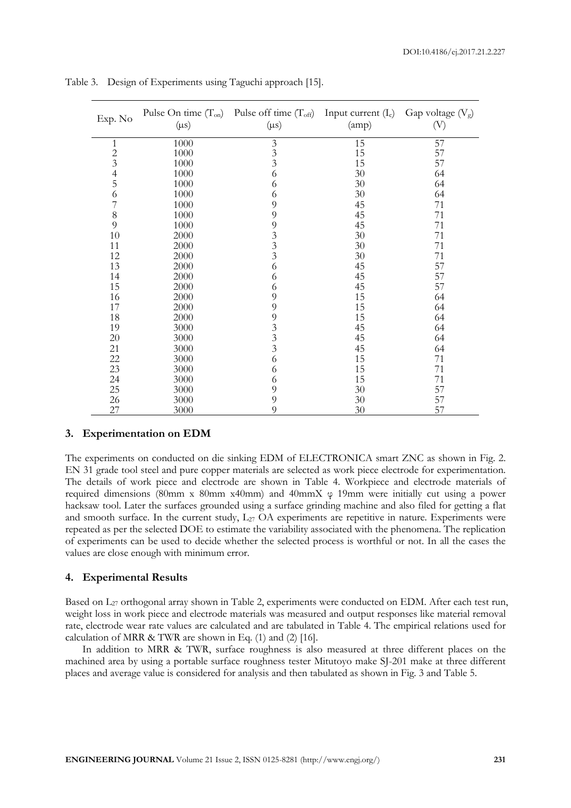| Exp. No        | Pulse On time $(T_{on})$<br>$(\mu s)$ | Pulse off time $(T_{\text{off}})$ Input current $(I_c)$<br>$(\mu s)$ | (amp) | Gap voltage $(V_g)$<br>$\left(\mathrm{V}\right)$ |  |
|----------------|---------------------------------------|----------------------------------------------------------------------|-------|--------------------------------------------------|--|
| 1              | 1000                                  |                                                                      | 15    | 57                                               |  |
| $\overline{c}$ | 1000                                  | $\frac{3}{3}$                                                        | 15    | 57                                               |  |
| 3              | 1000                                  | $\overline{3}$                                                       | 15    | 57                                               |  |
| $\overline{4}$ | 1000                                  | 6                                                                    | 30    | 64                                               |  |
| 5              | 1000                                  | 6                                                                    | 30    | 64                                               |  |
| 6              | 1000                                  | 6                                                                    | 30    | 64                                               |  |
| 7              | 1000                                  | 9                                                                    | 45    | 71                                               |  |
| 8              | 1000                                  | 9                                                                    | 45    | 71                                               |  |
| 9              | 1000                                  | 9                                                                    | 45    | 71                                               |  |
| 10             | 2000                                  |                                                                      | 30    | 71                                               |  |
| 11             | 2000                                  | $\begin{array}{c} 3 \\ 3 \\ 3 \end{array}$                           | 30    | 71                                               |  |
| 12             | 2000                                  |                                                                      | 30    | 71                                               |  |
| 13             | 2000                                  | 6                                                                    | 45    | 57                                               |  |
| 14             | 2000                                  | 6                                                                    | 45    | 57                                               |  |
| 15             | 2000                                  | 6                                                                    | 45    | 57                                               |  |
| 16             | 2000                                  | 9                                                                    | 15    | 64                                               |  |
| 17             | 2000                                  | 9                                                                    | 15    | 64                                               |  |
| 18             | 2000                                  | 9                                                                    | 15    | 64                                               |  |
| 19             | 3000                                  |                                                                      | 45    | 64                                               |  |
| 20             | 3000                                  | $\begin{array}{c} 3 \\ 3 \\ 3 \end{array}$                           | 45    | 64                                               |  |
| 21             | 3000                                  |                                                                      | 45    | 64                                               |  |
| 22             | 3000                                  | 6                                                                    | 15    | 71                                               |  |
| 23             | 3000                                  | 6                                                                    | 15    | 71                                               |  |
| 24             | 3000                                  | 6                                                                    | 15    | 71                                               |  |
| 25             | 3000                                  | 9                                                                    | 30    | 57                                               |  |
| 26             | 3000                                  | 9                                                                    | 30    | 57                                               |  |
| 27             | 3000                                  | 9                                                                    | 30    | 57                                               |  |

Table 3. Design of Experiments using Taguchi approach [15].

#### **3. Experimentation on EDM**

The experiments on conducted on die sinking EDM of ELECTRONICA smart ZNC as shown in Fig. 2. EN 31 grade tool steel and pure copper materials are selected as work piece electrode for experimentation. The details of work piece and electrode are shown in Table 4. Workpiece and electrode materials of required dimensions (80mm x 80mm x40mm) and 40mmX φ 19mm were initially cut using a power hacksaw tool. Later the surfaces grounded using a surface grinding machine and also filed for getting a flat and smooth surface. In the current study, L<sub>27</sub> OA experiments are repetitive in nature. Experiments were repeated as per the selected DOE to estimate the variability associated with the phenomena. The replication of experiments can be used to decide whether the selected process is worthful or not. In all the cases the values are close enough with minimum error.

#### **4. Experimental Results**

Based on L<sup>27</sup> orthogonal array shown in Table 2, experiments were conducted on EDM. After each test run, weight loss in work piece and electrode materials was measured and output responses like material removal rate, electrode wear rate values are calculated and are tabulated in Table 4. The empirical relations used for calculation of MRR & TWR are shown in Eq. (1) and (2) [16].

In addition to MRR & TWR, surface roughness is also measured at three different places on the machined area by using a portable surface roughness tester Mitutoyo make SJ-201 make at three different places and average value is considered for analysis and then tabulated as shown in Fig. 3 and Table 5.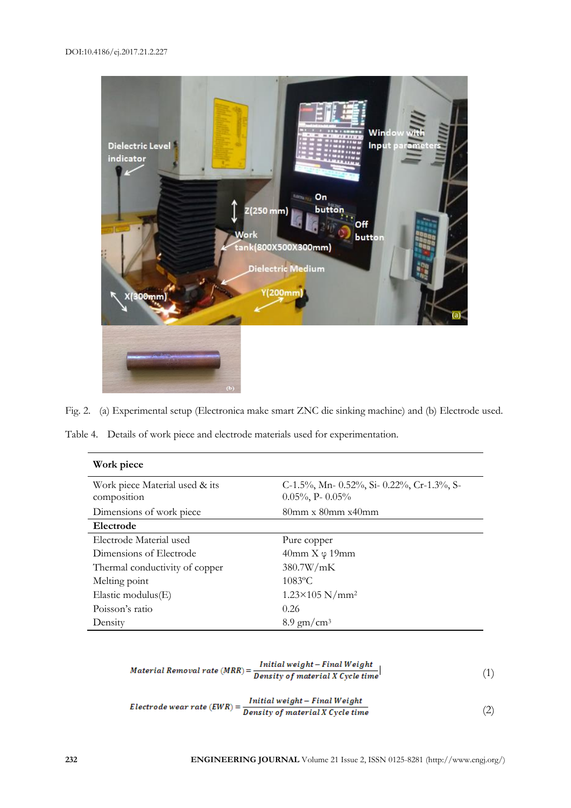

Fig. 2. (a) Experimental setup (Electronica make smart ZNC die sinking machine) and (b) Electrode used.

Table 4. Details of work piece and electrode materials used for experimentation.

| Work piece                                    |                                                                             |
|-----------------------------------------------|-----------------------------------------------------------------------------|
| Work piece Material used & its<br>composition | C-1.5%, Mn- $0.52\%$ , Si- $0.22\%$ , Cr-1.3%, S-<br>$0.05\%$ , P- $0.05\%$ |
| Dimensions of work piece                      | $80$ mm x $80$ mm x $40$ mm                                                 |
| Electrode                                     |                                                                             |
| Electrode Material used                       | Pure copper                                                                 |
| Dimensions of Electrode                       | $40$ mm $X \varphi 19$ mm                                                   |
| Thermal conductivity of copper                | 380.7W/mK                                                                   |
| Melting point                                 | $1083$ °C                                                                   |
| Elastic modulus $(E)$                         | $1.23 \times 105$ N/mm <sup>2</sup>                                         |
| Poisson's ratio                               | 0.26                                                                        |
| Density                                       | $8.9 \text{ gm/cm}^3$                                                       |

$$
Material\,Removal\,rate\,(MRR) = \frac{Initial\,weight - Final\,Weight}{Density\,of\,material\,X\,Cycle\,time}
$$
\n
$$
\tag{1}
$$

$$
Electrode wear rate (EWR) = \frac{Initial weight - Final Weight}{Density of material X Cycle time}
$$
\n(2)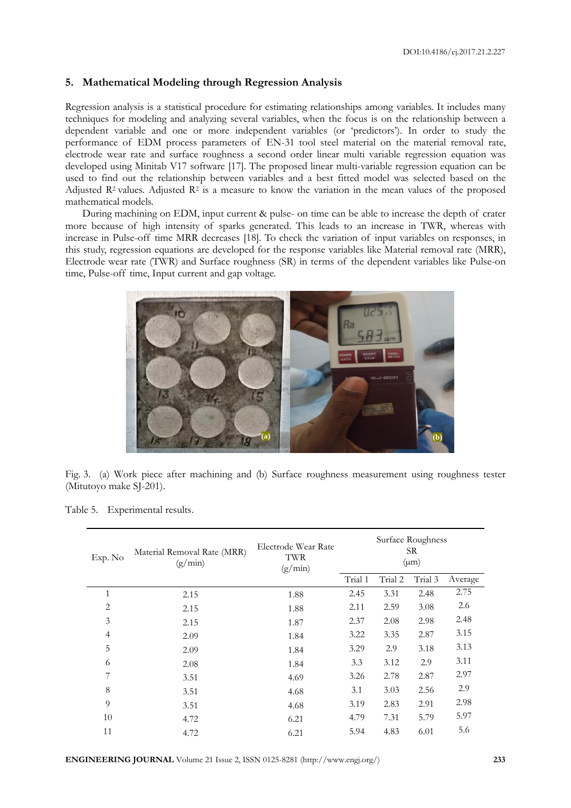#### **5. Mathematical Modeling through Regression Analysis**

Regression analysis is a statistical procedure for estimating relationships among variables. It includes many techniques for modeling and analyzing several variables, when the focus is on the relationship between a dependent variable and one or more independent variables (or 'predictors'). In order to study the performance of EDM process parameters of EN-31 tool steel material on the material removal rate, electrode wear rate and surface roughness a second order linear multi variable regression equation was developed using Minitab V17 software [17]. The proposed linear multi-variable regression equation can be used to find out the relationship between variables and a best fitted model was selected based on the Adjusted R<sup>2</sup> values. Adjusted R<sup>2</sup> is a measure to know the variation in the mean values of the proposed mathematical models.

During machining on EDM, input current & pulse- on time can be able to increase the depth of crater more because of high intensity of sparks generated. This leads to an increase in TWR, whereas with increase in Pulse-off time MRR decreases [18]. To check the variation of input variables on responses, in this study, regression equations are developed for the response variables like Material removal rate (MRR), Electrode wear rate (TWR) and Surface roughness (SR) in terms of the dependent variables like Pulse-on time, Pulse-off time, Input current and gap voltage.



Fig. 3. (a) Work piece after machining and (b) Surface roughness measurement using roughness tester (Mitutoyo make SJ-201).

| Exp. No        | Material Removal Rate (MRR)<br>(g/min) | Electrode Wear Rate<br>TWR<br>(g/min) | Surface Roughness<br>SR.<br>$(\mu m)$ |         |         |         |
|----------------|----------------------------------------|---------------------------------------|---------------------------------------|---------|---------|---------|
|                |                                        |                                       | Trial 1                               | Trial 2 | Trial 3 | Average |
| 1              | 2.15                                   | 1.88                                  | 2.45                                  | 3.31    | 2.48    | 2.75    |
| $\overline{2}$ | 2.15                                   | 1.88                                  | 2.11                                  | 2.59    | 3.08    | 2.6     |
| 3              | 2.15                                   | 1.87                                  | 2.37                                  | 2.08    | 2.98    | 2.48    |
| $\overline{4}$ | 2.09                                   | 1.84                                  | 3.22                                  | 3.35    | 2.87    | 3.15    |
| 5              | 2.09                                   | 1.84                                  | 3.29                                  | 2.9     | 3.18    | 3.13    |
| 6              | 2.08                                   | 1.84                                  | 3.3                                   | 3.12    | 2.9     | 3.11    |
| 7              | 3.51                                   | 4.69                                  | 3.26                                  | 2.78    | 2.87    | 2.97    |
| 8              | 3.51                                   | 4.68                                  | 3.1                                   | 3.03    | 2.56    | 2.9     |
| 9              | 3.51                                   | 4.68                                  | 3.19                                  | 2.83    | 2.91    | 2.98    |
| 10             | 4.72                                   | 6.21                                  | 4.79                                  | 7.31    | 5.79    | 5.97    |
| 11             | 4.72                                   | 6.21                                  | 5.94                                  | 4.83    | 6.01    | 5.6     |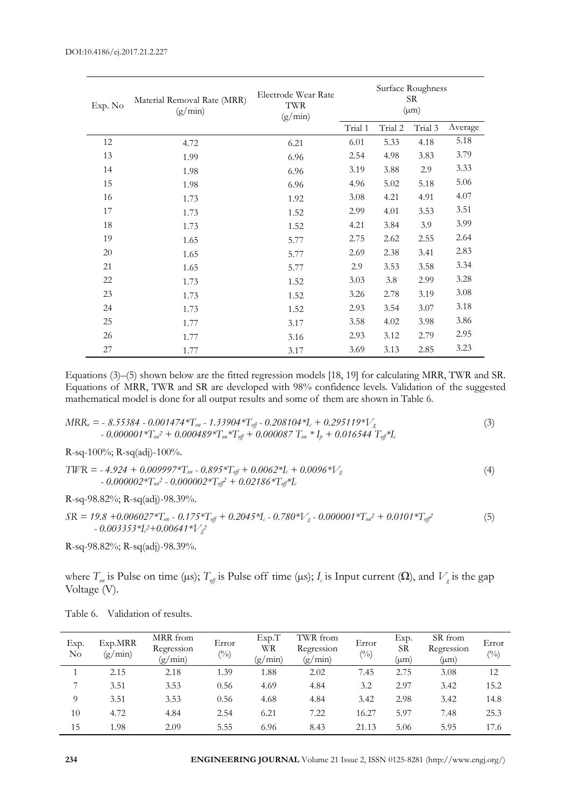| Exp. No | Material Removal Rate (MRR)<br>(g/min) | Electrode Wear Rate<br>TWR<br>(g/min) | Surface Roughness<br>SR.<br>$(\mu m)$ |         |         |         |
|---------|----------------------------------------|---------------------------------------|---------------------------------------|---------|---------|---------|
|         |                                        |                                       | Trial 1                               | Trial 2 | Trial 3 | Average |
| 12      | 4.72                                   | 6.21                                  | 6.01                                  | 5.33    | 4.18    | 5.18    |
| 13      | 1.99                                   | 6.96                                  | 2.54                                  | 4.98    | 3.83    | 3.79    |
| 14      | 1.98                                   | 6.96                                  | 3.19                                  | 3.88    | 2.9     | 3.33    |
| 15      | 1.98                                   | 6.96                                  | 4.96                                  | 5.02    | 5.18    | 5.06    |
| 16      | 1.73                                   | 1.92                                  | 3.08                                  | 4.21    | 4.91    | 4.07    |
| 17      | 1.73                                   | 1.52                                  | 2.99                                  | 4.01    | 3.53    | 3.51    |
| 18      | 1.73                                   | 1.52                                  | 4.21                                  | 3.84    | 3.9     | 3.99    |
| 19      | 1.65                                   | 5.77                                  | 2.75                                  | 2.62    | 2.55    | 2.64    |
| 20      | 1.65                                   | 5.77                                  | 2.69                                  | 2.38    | 3.41    | 2.83    |
| 21      | 1.65                                   | 5.77                                  | 2.9                                   | 3.53    | 3.58    | 3.34    |
| 22      | 1.73                                   | 1.52                                  | 3.03                                  | 3.8     | 2.99    | 3.28    |
| 23      | 1.73                                   | 1.52                                  | 3.26                                  | 2.78    | 3.19    | 3.08    |
| 24      | 1.73                                   | 1.52                                  | 2.93                                  | 3.54    | 3.07    | 3.18    |
| 25      | 1.77                                   | 3.17                                  | 3.58                                  | 4.02    | 3.98    | 3.86    |
| 26      | 1.77                                   | 3.16                                  | 2.93                                  | 3.12    | 2.79    | 2.95    |
| $27\,$  | 1.77                                   | 3.17                                  | 3.69                                  | 3.13    | 2.85    | 3.23    |

Equations (3)–(5) shown below are the fitted regression models [18, 19] for calculating MRR, TWR and SR. Equations of MRR, TWR and SR are developed with 98% confidence levels. Validation of the suggested mathematical model is done for all output results and some of them are shown in Table 6.

$$
MR_{w} = -8.55384 - 0.001474 \cdot \text{T}_{ow} - 1.33904 \cdot \text{T}_{off} - 0.208104 \cdot \text{T}_{c} + 0.295119 \cdot \text{V}_{g}
$$
  
- 0.000001 \cdot \text{T}\_{ow}^{2} + 0.000489 \cdot \text{T}\_{ow}^{2} + \text{T}\_{off} + 0.000087 \cdot \text{T}\_{ow}^{2} + I\_{p} + 0.016544 \cdot \text{T}\_{off}^{2} + I\_{c} (3)

R-sq-100%; R-sq(adj)-100%.

$$
TWR = -4.924 + 0.009997 *T_{on} - 0.895 *T_{off} + 0.0062 *T_c + 0.0096 *V_g
$$
  
- 0.000002 \*T<sub>on</sub><sup>2</sup> - 0.000002 \*T<sub>off</sub><sup>2</sup> + 0.02186 \*T<sub>off</sub><sup>2</sup> + I<sub>c</sub>

R-sq-98.82%; R-sq(adj)-98.39%.

$$
SR = 19.8 + 0.006027 \times T_{on} - 0.175 \times T_{off} + 0.2045 \times I_c - 0.780 \times V_g - 0.000001 \times T_{on}^2 + 0.0101 \times T_{off}^2
$$
  
- 0.003353 \times I\_c^2 + 0.00641 \times V\_g^2 (5)

R-sq-98.82%; R-sq(adj)-98.39%.

where  $T_{\sigma n}$  is Pulse on time (µs);  $T_{\sigma f}$  is Pulse off time (µs);  $I_c$  is Input current ( $\Omega$ ), and  $V_g$  is the gap Voltage (V).

| Exp.<br>No     | Exp.MRR<br>(g/min) | MRR from<br>Regression<br>(g/min) | Error<br>$\binom{0}{0}$ | Exp.T<br>WR<br>(g/min) | TWR from<br>Regression<br>(g/min) | Error<br>$(^{0}_{0})$ | Exp.<br><b>SR</b><br>(um) | SR from<br>Regression<br>(µm) | Error<br>$(^{0}_{0})$ |
|----------------|--------------------|-----------------------------------|-------------------------|------------------------|-----------------------------------|-----------------------|---------------------------|-------------------------------|-----------------------|
|                | 2.15               | 2.18                              | 1.39                    | 1.88                   | 2.02                              | 7.45                  | 2.75                      | 3.08                          | 12                    |
| $\overline{ }$ | 3.51               | 3.53                              | 0.56                    | 4.69                   | 4.84                              | 3.2                   | 2.97                      | 3.42                          | 15.2                  |
| 9              | 3.51               | 3.53                              | 0.56                    | 4.68                   | 4.84                              | 3.42                  | 2.98                      | 3.42                          | 14.8                  |
| 10             | 4.72               | 4.84                              | 2.54                    | 6.21                   | 7.22                              | 16.27                 | 5.97                      | 7.48                          | 25.3                  |
| 15             | 1.98               | 2.09                              | 5.55                    | 6.96                   | 8.43                              | 21.13                 | 5.06                      | 5.95                          | 17.6                  |

Table 6. Validation of results.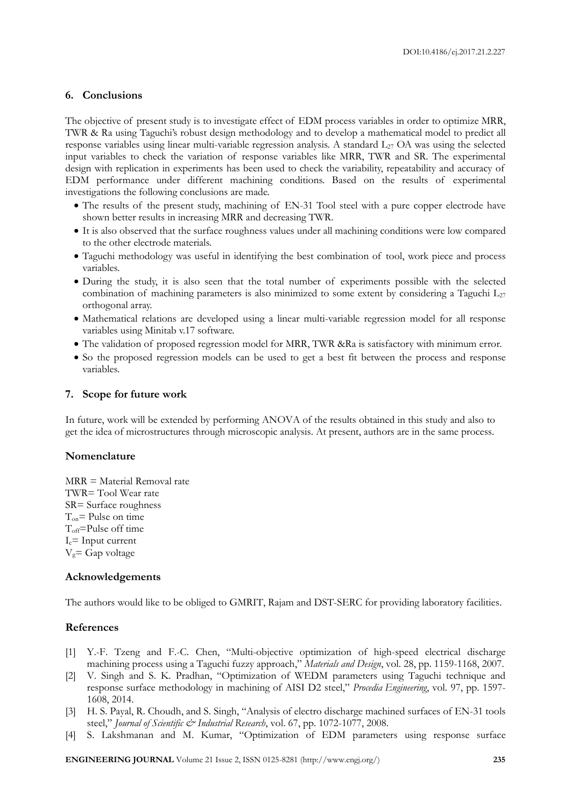#### **6. Conclusions**

The objective of present study is to investigate effect of EDM process variables in order to optimize MRR, TWR & Ra using Taguchi's robust design methodology and to develop a mathematical model to predict all response variables using linear multi-variable regression analysis. A standard L<sup>27</sup> OA was using the selected input variables to check the variation of response variables like MRR, TWR and SR. The experimental design with replication in experiments has been used to check the variability, repeatability and accuracy of EDM performance under different machining conditions. Based on the results of experimental investigations the following conclusions are made.

- The results of the present study, machining of EN-31 Tool steel with a pure copper electrode have shown better results in increasing MRR and decreasing TWR.
- It is also observed that the surface roughness values under all machining conditions were low compared to the other electrode materials.
- Taguchi methodology was useful in identifying the best combination of tool, work piece and process variables.
- During the study, it is also seen that the total number of experiments possible with the selected combination of machining parameters is also minimized to some extent by considering a Taguchi  $L_{27}$ orthogonal array.
- Mathematical relations are developed using a linear multi-variable regression model for all response variables using Minitab v.17 software.
- The validation of proposed regression model for MRR, TWR &Ra is satisfactory with minimum error.
- So the proposed regression models can be used to get a best fit between the process and response variables.

#### **7. Scope for future work**

In future, work will be extended by performing ANOVA of the results obtained in this study and also to get the idea of microstructures through microscopic analysis. At present, authors are in the same process.

#### **Nomenclature**

MRR = Material Removal rate TWR= Tool Wear rate SR= Surface roughness  $T_{on}$ = Pulse on time T<sub>off</sub>=Pulse off time  $I_c$ = Input current  $V_g = Gap$  voltage

#### **Acknowledgements**

The authors would like to be obliged to GMRIT, Rajam and DST-SERC for providing laboratory facilities.

#### **References**

- [1] Y.-F. Tzeng and F.-C. Chen, "Multi-objective optimization of high-speed electrical discharge machining process using a Taguchi fuzzy approach," *Materials and Design*, vol. 28, pp. 1159-1168, 2007.
- [2] V. Singh and S. K. Pradhan, "Optimization of WEDM parameters using Taguchi technique and response surface methodology in machining of AISI D2 steel," *Procedia Engineering*, vol. 97, pp. 1597- 1608, 2014.
- [3] H. S. Payal, R. Choudh, and S. Singh, "Analysis of electro discharge machined surfaces of EN-31 tools steel," *Journal of Scientific & Industrial Research*, vol. 67, pp. 1072-1077, 2008.
- [4] S. Lakshmanan and M. Kumar, "Optimization of EDM parameters using response surface

**ENGINEERING JOURNAL** Volume 21 Issue 2, ISSN 0125-8281 (http://www.engj.org/) **235**